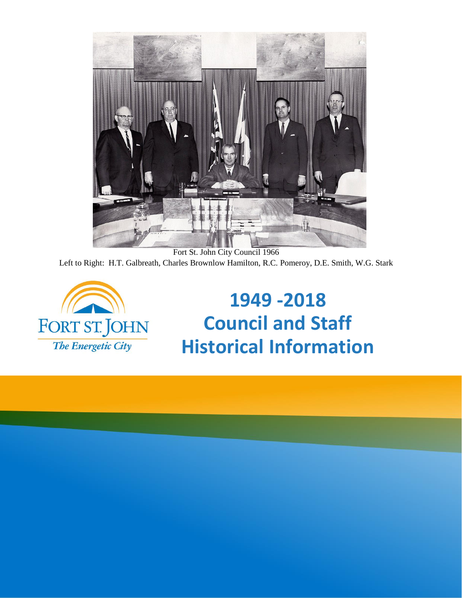

Fort St. John City Council 1966 Left to Right: H.T. Galbreath, Charles Brownlow Hamilton, R.C. Pomeroy, D.E. Smith, W.G. Stark



**1949 -2018 Council and Staff Historical Information**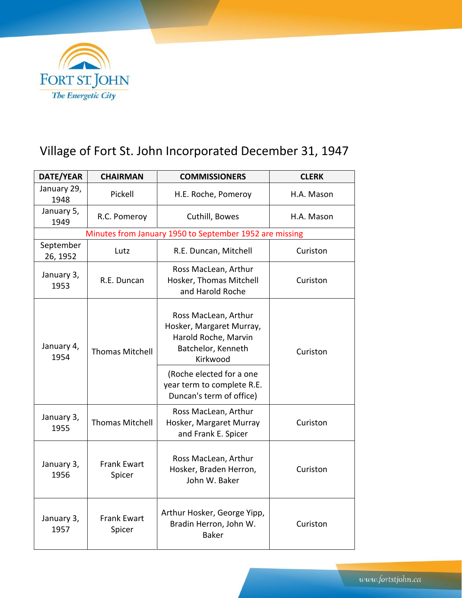

## Village of Fort St. John Incorporated December 31, 1947

| DATE/YEAR             | <b>CHAIRMAN</b>              | <b>COMMISSIONERS</b>                                                                                       | <b>CLERK</b> |  |
|-----------------------|------------------------------|------------------------------------------------------------------------------------------------------------|--------------|--|
| January 29,<br>1948   | Pickell                      | H.E. Roche, Pomeroy                                                                                        | H.A. Mason   |  |
| January 5,<br>1949    | R.C. Pomeroy                 | Cuthill, Bowes                                                                                             | H.A. Mason   |  |
|                       |                              | Minutes from January 1950 to September 1952 are missing                                                    |              |  |
| September<br>26, 1952 | Lutz                         | R.E. Duncan, Mitchell                                                                                      | Curiston     |  |
| January 3,<br>1953    | R.E. Duncan                  | Ross MacLean, Arthur<br>Hosker, Thomas Mitchell<br>and Harold Roche                                        | Curiston     |  |
| January 4,<br>1954    | <b>Thomas Mitchell</b>       | Ross MacLean, Arthur<br>Hosker, Margaret Murray,<br>Harold Roche, Marvin<br>Batchelor, Kenneth<br>Kirkwood | Curiston     |  |
|                       |                              | (Roche elected for a one<br>year term to complete R.E.<br>Duncan's term of office)                         |              |  |
| January 3,<br>1955    | <b>Thomas Mitchell</b>       | Ross MacLean, Arthur<br>Hosker, Margaret Murray<br>and Frank E. Spicer                                     | Curiston     |  |
| January 3,<br>1956    | <b>Frank Ewart</b><br>Spicer | Ross MacLean, Arthur<br>Hosker, Braden Herron,<br>John W. Baker                                            | Curiston     |  |
| January 3,<br>1957    | <b>Frank Ewart</b><br>Spicer | Arthur Hosker, George Yipp,<br>Bradin Herron, John W.<br><b>Baker</b>                                      | Curiston     |  |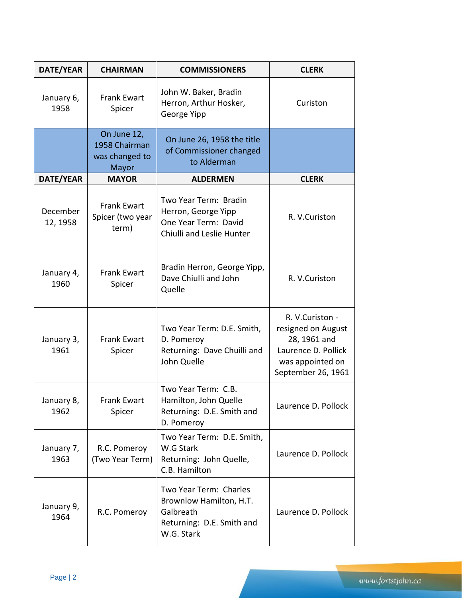| DATE/YEAR            | <b>CHAIRMAN</b>                                                                                                                 | <b>COMMISSIONERS</b>                                                                                      | <b>CLERK</b>                                                                                                           |
|----------------------|---------------------------------------------------------------------------------------------------------------------------------|-----------------------------------------------------------------------------------------------------------|------------------------------------------------------------------------------------------------------------------------|
| January 6,<br>1958   | <b>Frank Ewart</b><br>Spicer                                                                                                    | John W. Baker, Bradin<br>Herron, Arthur Hosker,<br>George Yipp                                            | Curiston                                                                                                               |
|                      | On June 12,<br>On June 26, 1958 the title<br>1958 Chairman<br>of Commissioner changed<br>was changed to<br>to Alderman<br>Mayor |                                                                                                           |                                                                                                                        |
| DATE/YEAR            | <b>MAYOR</b>                                                                                                                    | <b>ALDERMEN</b>                                                                                           | <b>CLERK</b>                                                                                                           |
| December<br>12, 1958 | <b>Frank Ewart</b><br>Spicer (two year<br>term)                                                                                 | Two Year Term: Bradin<br>Herron, George Yipp<br>One Year Term: David<br>Chiulli and Leslie Hunter         | R. V.Curiston                                                                                                          |
| January 4,<br>1960   | <b>Frank Ewart</b><br>Spicer                                                                                                    | Bradin Herron, George Yipp,<br>Dave Chiulli and John<br>Quelle                                            | R. V.Curiston                                                                                                          |
| January 3,<br>1961   | <b>Frank Ewart</b><br>Spicer                                                                                                    | Two Year Term: D.E. Smith,<br>D. Pomeroy<br>Returning: Dave Chuilli and<br>John Quelle                    | R. V.Curiston -<br>resigned on August<br>28, 1961 and<br>Laurence D. Pollick<br>was appointed on<br>September 26, 1961 |
| January 8,<br>1962   | <b>Frank Ewart</b><br>Spicer                                                                                                    | Two Year Term: C.B.<br>Hamilton, John Quelle<br>Returning: D.E. Smith and<br>D. Pomeroy                   | Laurence D. Pollock                                                                                                    |
| January 7,<br>1963   | R.C. Pomeroy<br>(Two Year Term)                                                                                                 | Two Year Term: D.E. Smith,<br>W.G Stark<br>Returning: John Quelle,<br>C.B. Hamilton                       | Laurence D. Pollock                                                                                                    |
| January 9,<br>1964   | R.C. Pomeroy                                                                                                                    | Two Year Term: Charles<br>Brownlow Hamilton, H.T.<br>Galbreath<br>Returning: D.E. Smith and<br>W.G. Stark | Laurence D. Pollock                                                                                                    |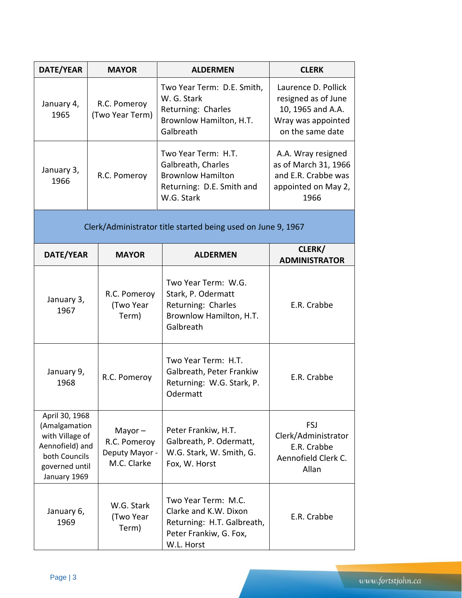| DATE/YEAR                                                                                                                | <b>MAYOR</b>                                               | <b>ALDERMEN</b>                                                                                                    | <b>CLERK</b>                                                                                              |
|--------------------------------------------------------------------------------------------------------------------------|------------------------------------------------------------|--------------------------------------------------------------------------------------------------------------------|-----------------------------------------------------------------------------------------------------------|
| January 4,<br>R.C. Pomeroy<br>(Two Year Term)<br>1965                                                                    |                                                            | Two Year Term: D.E. Smith,<br>W. G. Stark<br>Returning: Charles<br>Brownlow Hamilton, H.T.<br>Galbreath            | Laurence D. Pollick<br>resigned as of June<br>10, 1965 and A.A.<br>Wray was appointed<br>on the same date |
| January 3,<br>R.C. Pomeroy<br>1966                                                                                       |                                                            | Two Year Term: H.T.<br>Galbreath, Charles<br><b>Brownlow Hamilton</b><br>Returning: D.E. Smith and<br>W.G. Stark   | A.A. Wray resigned<br>as of March 31, 1966<br>and E.R. Crabbe was<br>appointed on May 2,<br>1966          |
|                                                                                                                          |                                                            | Clerk/Administrator title started being used on June 9, 1967                                                       |                                                                                                           |
| DATE/YEAR                                                                                                                | <b>MAYOR</b>                                               | <b>ALDERMEN</b>                                                                                                    | CLERK/<br><b>ADMINISTRATOR</b>                                                                            |
| January 3,<br>1967                                                                                                       | R.C. Pomeroy<br>(Two Year<br>Term)                         | Two Year Term: W.G.<br>Stark, P. Odermatt<br>Returning: Charles<br>Brownlow Hamilton, H.T.<br>Galbreath            | E.R. Crabbe                                                                                               |
| January 9,<br>1968                                                                                                       | R.C. Pomeroy                                               | Two Year Term: H.T.<br>Galbreath, Peter Frankiw<br>Returning: W.G. Stark, P.<br>Odermatt                           | E.R. Crabbe                                                                                               |
| April 30, 1968<br>(Amalgamation<br>with Village of<br>Aennofield) and<br>both Councils<br>governed until<br>January 1969 | Mayor $-$<br>R.C. Pomeroy<br>Deputy Mayor -<br>M.C. Clarke | Peter Frankiw, H.T.<br>Galbreath, P. Odermatt,<br>W.G. Stark, W. Smith, G.<br>Fox, W. Horst                        | FSJ<br>Clerk/Administrator<br>E.R. Crabbe<br>Aennofield Clerk C.<br>Allan                                 |
| January 6,<br>1969                                                                                                       | W.G. Stark<br>(Two Year<br>Term)                           | Two Year Term: M.C.<br>Clarke and K.W. Dixon<br>Returning: H.T. Galbreath,<br>Peter Frankiw, G. Fox,<br>W.L. Horst | E.R. Crabbe                                                                                               |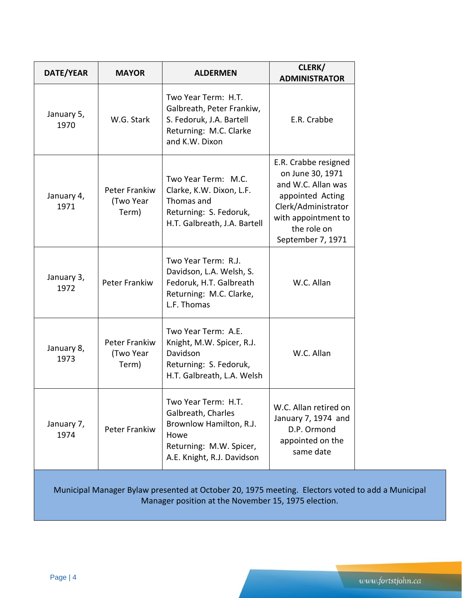|                                            |                                                                                                                                       | <b>ADMINISTRATOR</b>                                                                                                                                                 |
|--------------------------------------------|---------------------------------------------------------------------------------------------------------------------------------------|----------------------------------------------------------------------------------------------------------------------------------------------------------------------|
| W.G. Stark                                 | Two Year Term: H.T.<br>Galbreath, Peter Frankiw,<br>S. Fedoruk, J.A. Bartell<br>Returning: M.C. Clarke<br>and K.W. Dixon              | E.R. Crabbe                                                                                                                                                          |
| <b>Peter Frankiw</b><br>(Two Year<br>Term) | Two Year Term: M.C.<br>Clarke, K.W. Dixon, L.F.<br>Thomas and<br>Returning: S. Fedoruk,<br>H.T. Galbreath, J.A. Bartell               | E.R. Crabbe resigned<br>on June 30, 1971<br>and W.C. Allan was<br>appointed Acting<br>Clerk/Administrator<br>with appointment to<br>the role on<br>September 7, 1971 |
| <b>Peter Frankiw</b>                       | Two Year Term: R.J.<br>Davidson, L.A. Welsh, S.<br>Fedoruk, H.T. Galbreath<br>Returning: M.C. Clarke,<br>L.F. Thomas                  | W.C. Allan                                                                                                                                                           |
| Peter Frankiw<br>(Two Year<br>Term)        | Two Year Term: A.E.<br>Knight, M.W. Spicer, R.J.<br>Davidson<br>Returning: S. Fedoruk,<br>H.T. Galbreath, L.A. Welsh                  | W.C. Allan                                                                                                                                                           |
| Peter Frankiw                              | Two Year Term: H.T.<br>Galbreath, Charles<br>Brownlow Hamilton, R.J.<br>Howe<br>Returning: M.W. Spicer,<br>A.E. Knight, R.J. Davidson | W.C. Allan retired on<br>January 7, 1974 and<br>D.P. Ormond<br>appointed on the<br>same date                                                                         |
|                                            |                                                                                                                                       | $\sim$ Cetabra 30 1075 montion                                                                                                                                       |

Municipal Manager Bylaw presented at October 20, 1975 meeting. Electors voted to add a Municipal Manager position at the November 15, 1975 election.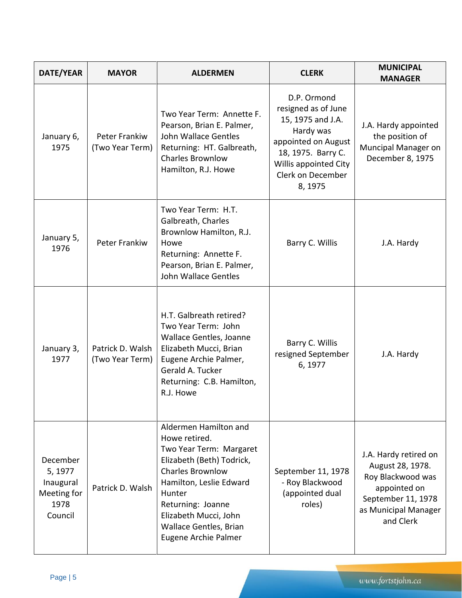| DATE/YEAR                                                          | <b>MAYOR</b>                        | <b>ALDERMEN</b>                                                                                                                                                                                                                                                | <b>CLERK</b>                                                                                                                                                               | <b>MUNICIPAL</b><br><b>MANAGER</b>                                                                                                        |
|--------------------------------------------------------------------|-------------------------------------|----------------------------------------------------------------------------------------------------------------------------------------------------------------------------------------------------------------------------------------------------------------|----------------------------------------------------------------------------------------------------------------------------------------------------------------------------|-------------------------------------------------------------------------------------------------------------------------------------------|
| January 6,<br>1975                                                 | Peter Frankiw<br>(Two Year Term)    | Two Year Term: Annette F.<br>Pearson, Brian E. Palmer,<br>John Wallace Gentles<br>Returning: HT. Galbreath,<br><b>Charles Brownlow</b><br>Hamilton, R.J. Howe                                                                                                  | D.P. Ormond<br>resigned as of June<br>15, 1975 and J.A.<br>Hardy was<br>appointed on August<br>18, 1975. Barry C.<br>Willis appointed City<br>Clerk on December<br>8, 1975 | J.A. Hardy appointed<br>the position of<br>Muncipal Manager on<br>December 8, 1975                                                        |
| January 5,<br>1976                                                 | Peter Frankiw                       | Two Year Term: H.T.<br>Galbreath, Charles<br>Brownlow Hamilton, R.J.<br>Howe<br>Returning: Annette F.<br>Pearson, Brian E. Palmer,<br>John Wallace Gentles                                                                                                     | Barry C. Willis                                                                                                                                                            | J.A. Hardy                                                                                                                                |
| January 3,<br>1977                                                 | Patrick D. Walsh<br>(Two Year Term) | H.T. Galbreath retired?<br>Two Year Term: John<br>Wallace Gentles, Joanne<br>Elizabeth Mucci, Brian<br>Eugene Archie Palmer,<br>Gerald A. Tucker<br>Returning: C.B. Hamilton,<br>R.J. Howe                                                                     | Barry C. Willis<br>resigned September<br>6, 1977                                                                                                                           | J.A. Hardy                                                                                                                                |
| December<br>5, 1977<br>Inaugural<br>Meeting for<br>1978<br>Council | Patrick D. Walsh                    | Aldermen Hamilton and<br>Howe retired.<br>Two Year Term: Margaret<br>Elizabeth (Beth) Todrick,<br><b>Charles Brownlow</b><br>Hamilton, Leslie Edward<br>Hunter<br>Returning: Joanne<br>Elizabeth Mucci, John<br>Wallace Gentles, Brian<br>Eugene Archie Palmer | September 11, 1978<br>- Roy Blackwood<br>(appointed dual<br>roles)                                                                                                         | J.A. Hardy retired on<br>August 28, 1978.<br>Roy Blackwood was<br>appointed on<br>September 11, 1978<br>as Municipal Manager<br>and Clerk |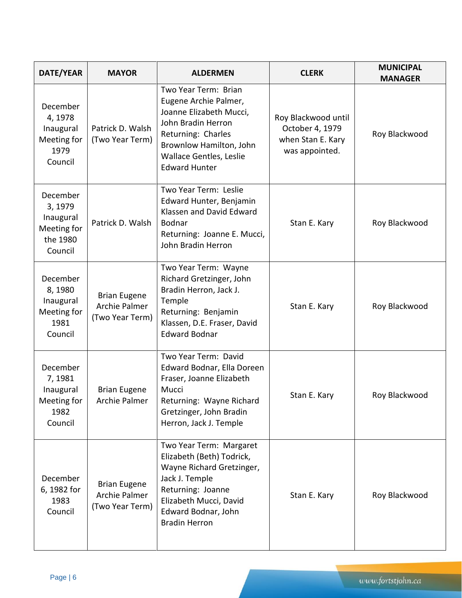| DATE/YEAR                                                              | <b>MAYOR</b>                                            | <b>ALDERMEN</b>                                                                                                                                                                                    | <b>CLERK</b>                                                                  | <b>MUNICIPAL</b><br><b>MANAGER</b> |
|------------------------------------------------------------------------|---------------------------------------------------------|----------------------------------------------------------------------------------------------------------------------------------------------------------------------------------------------------|-------------------------------------------------------------------------------|------------------------------------|
| December<br>4, 1978<br>Inaugural<br>Meeting for<br>1979<br>Council     | Patrick D. Walsh<br>(Two Year Term)                     | Two Year Term: Brian<br>Eugene Archie Palmer,<br>Joanne Elizabeth Mucci,<br>John Bradin Herron<br>Returning: Charles<br>Brownlow Hamilton, John<br>Wallace Gentles, Leslie<br><b>Edward Hunter</b> | Roy Blackwood until<br>October 4, 1979<br>when Stan E. Kary<br>was appointed. | Roy Blackwood                      |
| December<br>3, 1979<br>Inaugural<br>Meeting for<br>the 1980<br>Council | Patrick D. Walsh                                        | Two Year Term: Leslie<br>Edward Hunter, Benjamin<br>Klassen and David Edward<br><b>Bodnar</b><br>Returning: Joanne E. Mucci,<br>John Bradin Herron                                                 | Stan E. Kary                                                                  | Roy Blackwood                      |
| December<br>8,1980<br>Inaugural<br>Meeting for<br>1981<br>Council      | <b>Brian Eugene</b><br>Archie Palmer<br>(Two Year Term) | Two Year Term: Wayne<br>Richard Gretzinger, John<br>Bradin Herron, Jack J.<br>Temple<br>Returning: Benjamin<br>Klassen, D.E. Fraser, David<br><b>Edward Bodnar</b>                                 | Stan E. Kary                                                                  | Roy Blackwood                      |
| December<br>7, 1981<br>Inaugural<br>Meeting for<br>1982<br>Council     | <b>Brian Eugene</b><br>Archie Palmer                    | Two Year Term: David<br>Edward Bodnar, Ella Doreen<br>Fraser, Joanne Elizabeth<br>Mucci<br>Returning: Wayne Richard<br>Gretzinger, John Bradin<br>Herron, Jack J. Temple                           | Stan E. Kary                                                                  | Roy Blackwood                      |
| December<br>6, 1982 for<br>1983<br>Council                             | <b>Brian Eugene</b><br>Archie Palmer<br>(Two Year Term) | Two Year Term: Margaret<br>Elizabeth (Beth) Todrick,<br>Wayne Richard Gretzinger,<br>Jack J. Temple<br>Returning: Joanne<br>Elizabeth Mucci, David<br>Edward Bodnar, John<br><b>Bradin Herron</b>  | Stan E. Kary                                                                  | Roy Blackwood                      |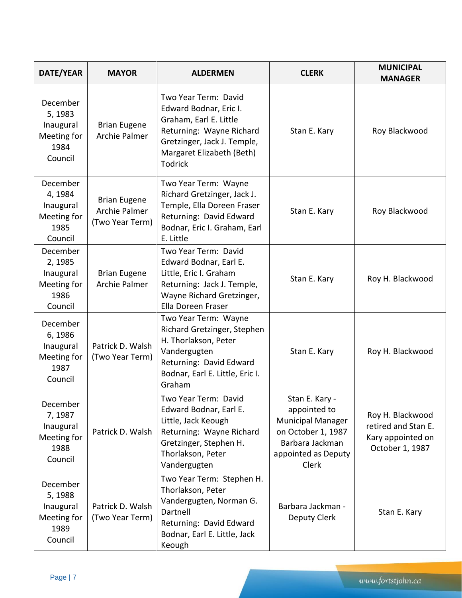| DATE/YEAR                                                          | <b>MAYOR</b>                                                   | <b>ALDERMEN</b>                                                                                                                                                             | <b>CLERK</b>                                                                                                                        | <b>MUNICIPAL</b><br><b>MANAGER</b>                                              |
|--------------------------------------------------------------------|----------------------------------------------------------------|-----------------------------------------------------------------------------------------------------------------------------------------------------------------------------|-------------------------------------------------------------------------------------------------------------------------------------|---------------------------------------------------------------------------------|
| December<br>5, 1983<br>Inaugural<br>Meeting for<br>1984<br>Council | <b>Brian Eugene</b><br>Archie Palmer                           | Two Year Term: David<br>Edward Bodnar, Eric I.<br>Graham, Earl E. Little<br>Returning: Wayne Richard<br>Gretzinger, Jack J. Temple,<br>Margaret Elizabeth (Beth)<br>Todrick | Stan E. Kary                                                                                                                        | Roy Blackwood                                                                   |
| December<br>4,1984<br>Inaugural<br>Meeting for<br>1985<br>Council  | <b>Brian Eugene</b><br><b>Archie Palmer</b><br>(Two Year Term) | Two Year Term: Wayne<br>Richard Gretzinger, Jack J.<br>Temple, Ella Doreen Fraser<br>Returning: David Edward<br>Bodnar, Eric I. Graham, Earl<br>E. Little                   | Stan E. Kary                                                                                                                        | Roy Blackwood                                                                   |
| December<br>2, 1985<br>Inaugural<br>Meeting for<br>1986<br>Council | <b>Brian Eugene</b><br>Archie Palmer                           | Two Year Term: David<br>Edward Bodnar, Earl E.<br>Little, Eric I. Graham<br>Returning: Jack J. Temple,<br>Wayne Richard Gretzinger,<br>Ella Doreen Fraser                   | Stan E. Kary                                                                                                                        | Roy H. Blackwood                                                                |
| December<br>6,1986<br>Inaugural<br>Meeting for<br>1987<br>Council  | Patrick D. Walsh<br>(Two Year Term)                            | Two Year Term: Wayne<br>Richard Gretzinger, Stephen<br>H. Thorlakson, Peter<br>Vandergugten<br>Returning: David Edward<br>Bodnar, Earl E. Little, Eric I.<br>Graham         | Stan E. Kary                                                                                                                        | Roy H. Blackwood                                                                |
| December<br>7,1987<br>Inaugural<br>Meeting for<br>1988<br>Council  | Patrick D. Walsh                                               | Two Year Term: David<br>Edward Bodnar, Earl E.<br>Little, Jack Keough<br>Returning: Wayne Richard<br>Gretzinger, Stephen H.<br>Thorlakson, Peter<br>Vandergugten            | Stan E. Kary -<br>appointed to<br><b>Municipal Manager</b><br>on October 1, 1987<br>Barbara Jackman<br>appointed as Deputy<br>Clerk | Roy H. Blackwood<br>retired and Stan E.<br>Kary appointed on<br>October 1, 1987 |
| December<br>5,1988<br>Inaugural<br>Meeting for<br>1989<br>Council  | Patrick D. Walsh<br>(Two Year Term)                            | Two Year Term: Stephen H.<br>Thorlakson, Peter<br>Vandergugten, Norman G.<br>Dartnell<br>Returning: David Edward<br>Bodnar, Earl E. Little, Jack<br>Keough                  | Barbara Jackman -<br>Deputy Clerk                                                                                                   | Stan E. Kary                                                                    |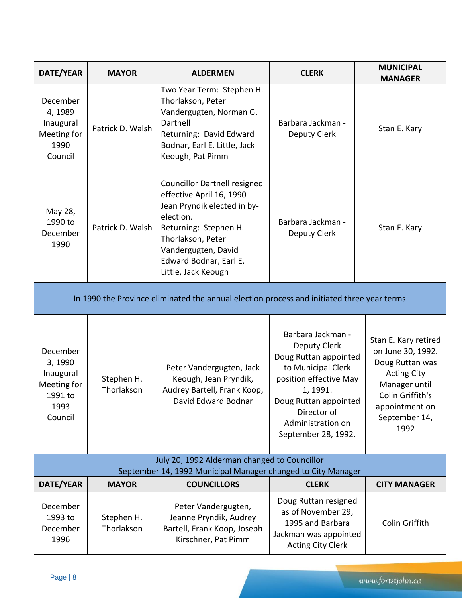| DATE/YEAR                                                                    | <b>MAYOR</b>             | <b>ALDERMEN</b>                                                                                                                                                                                                                   | <b>CLERK</b>                                                                                                                                                                                               | <b>MUNICIPAL</b><br><b>MANAGER</b>                                                                                                                                 |
|------------------------------------------------------------------------------|--------------------------|-----------------------------------------------------------------------------------------------------------------------------------------------------------------------------------------------------------------------------------|------------------------------------------------------------------------------------------------------------------------------------------------------------------------------------------------------------|--------------------------------------------------------------------------------------------------------------------------------------------------------------------|
| December<br>4,1989<br>Inaugural<br>Meeting for<br>1990<br>Council            | Patrick D. Walsh         | Two Year Term: Stephen H.<br>Thorlakson, Peter<br>Vandergugten, Norman G.<br>Dartnell<br>Returning: David Edward<br>Bodnar, Earl E. Little, Jack<br>Keough, Pat Pimm                                                              | Barbara Jackman -<br>Deputy Clerk                                                                                                                                                                          | Stan E. Kary                                                                                                                                                       |
| May 28,<br>1990 to<br>December<br>1990                                       | Patrick D. Walsh         | <b>Councillor Dartnell resigned</b><br>effective April 16, 1990<br>Jean Pryndik elected in by-<br>election.<br>Returning: Stephen H.<br>Thorlakson, Peter<br>Vandergugten, David<br>Edward Bodnar, Earl E.<br>Little, Jack Keough | Barbara Jackman -<br><b>Deputy Clerk</b>                                                                                                                                                                   | Stan E. Kary                                                                                                                                                       |
|                                                                              |                          | In 1990 the Province eliminated the annual election process and initiated three year terms                                                                                                                                        |                                                                                                                                                                                                            |                                                                                                                                                                    |
| December<br>3,1990<br>Inaugural<br>Meeting for<br>1991 to<br>1993<br>Council | Stephen H.<br>Thorlakson | Peter Vandergugten, Jack<br>Keough, Jean Pryndik,<br>Audrey Bartell, Frank Koop,<br>David Edward Bodnar                                                                                                                           | Barbara Jackman -<br>Deputy Clerk<br>Doug Ruttan appointed<br>to Municipal Clerk<br>position effective May<br>1, 1991.<br>Doug Ruttan appointed<br>Director of<br>Administration on<br>September 28, 1992. | Stan E. Kary retired<br>on June 30, 1992.<br>Doug Ruttan was<br><b>Acting City</b><br>Manager until<br>Colin Griffith's<br>appointment on<br>September 14,<br>1992 |
|                                                                              |                          | July 20, 1992 Alderman changed to Councillor<br>September 14, 1992 Municipal Manager changed to City Manager                                                                                                                      |                                                                                                                                                                                                            |                                                                                                                                                                    |
| DATE/YEAR                                                                    | <b>MAYOR</b>             | <b>COUNCILLORS</b>                                                                                                                                                                                                                | <b>CLERK</b>                                                                                                                                                                                               | <b>CITY MANAGER</b>                                                                                                                                                |
| December<br>1993 to<br>December<br>1996                                      | Stephen H.<br>Thorlakson | Peter Vandergugten,<br>Jeanne Pryndik, Audrey<br>Bartell, Frank Koop, Joseph<br>Kirschner, Pat Pimm                                                                                                                               | Doug Ruttan resigned<br>as of November 29,<br>1995 and Barbara<br>Jackman was appointed<br><b>Acting City Clerk</b>                                                                                        | Colin Griffith                                                                                                                                                     |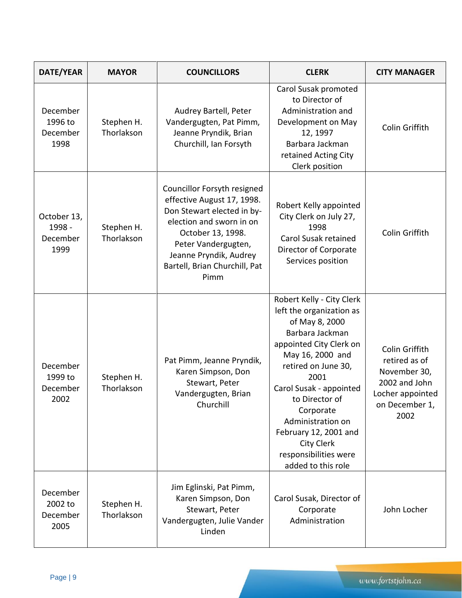| DATE/YEAR                                 | <b>MAYOR</b>             | <b>COUNCILLORS</b>                                                                                                                                                                                                                 | <b>CLERK</b>                                                                                                                                                                                                                                                                                                                                  | <b>CITY MANAGER</b>                                                                                            |
|-------------------------------------------|--------------------------|------------------------------------------------------------------------------------------------------------------------------------------------------------------------------------------------------------------------------------|-----------------------------------------------------------------------------------------------------------------------------------------------------------------------------------------------------------------------------------------------------------------------------------------------------------------------------------------------|----------------------------------------------------------------------------------------------------------------|
| December<br>1996 to<br>December<br>1998   | Stephen H.<br>Thorlakson | Audrey Bartell, Peter<br>Vandergugten, Pat Pimm,<br>Jeanne Pryndik, Brian<br>Churchill, Ian Forsyth                                                                                                                                | Carol Susak promoted<br>to Director of<br>Administration and<br>Development on May<br>12, 1997<br>Barbara Jackman<br>retained Acting City<br>Clerk position                                                                                                                                                                                   | Colin Griffith                                                                                                 |
| October 13,<br>1998 -<br>December<br>1999 | Stephen H.<br>Thorlakson | Councillor Forsyth resigned<br>effective August 17, 1998.<br>Don Stewart elected in by-<br>election and sworn in on<br>October 13, 1998.<br>Peter Vandergugten,<br>Jeanne Pryndik, Audrey<br>Bartell, Brian Churchill, Pat<br>Pimm | Robert Kelly appointed<br>City Clerk on July 27,<br>1998<br>Carol Susak retained<br>Director of Corporate<br>Services position                                                                                                                                                                                                                | Colin Griffith                                                                                                 |
| December<br>1999 to<br>December<br>2002   | Stephen H.<br>Thorlakson | Pat Pimm, Jeanne Pryndik,<br>Karen Simpson, Don<br>Stewart, Peter<br>Vandergugten, Brian<br>Churchill                                                                                                                              | Robert Kelly - City Clerk<br>left the organization as<br>of May 8, 2000<br>Barbara Jackman<br>appointed City Clerk on<br>May 16, 2000 and<br>retired on June 30,<br>2001<br>Carol Susak - appointed<br>to Director of<br>Corporate<br>Administration on<br>February 12, 2001 and<br>City Clerk<br>responsibilities were<br>added to this role | Colin Griffith<br>retired as of<br>November 30,<br>2002 and John<br>Locher appointed<br>on December 1,<br>2002 |
| December<br>2002 to<br>December<br>2005   | Stephen H.<br>Thorlakson | Jim Eglinski, Pat Pimm,<br>Karen Simpson, Don<br>Stewart, Peter<br>Vandergugten, Julie Vander<br>Linden                                                                                                                            | Carol Susak, Director of<br>Corporate<br>Administration                                                                                                                                                                                                                                                                                       | John Locher                                                                                                    |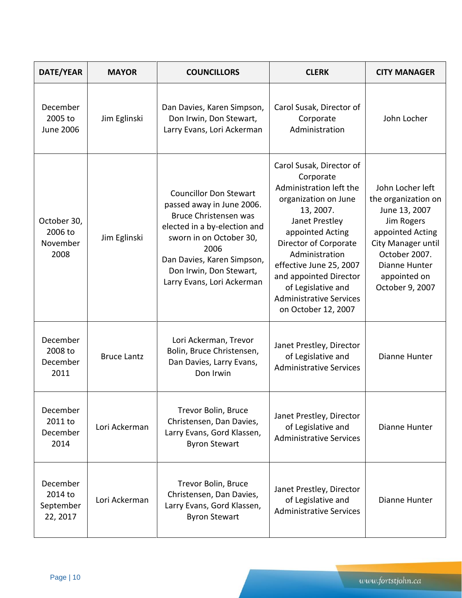| DATE/YEAR                                    | <b>MAYOR</b>       | <b>COUNCILLORS</b>                                                                                                                                                                                                                                   | <b>CLERK</b>                                                                                                                                                                                                                                                                                                               | <b>CITY MANAGER</b>                                                                                                                                                                   |
|----------------------------------------------|--------------------|------------------------------------------------------------------------------------------------------------------------------------------------------------------------------------------------------------------------------------------------------|----------------------------------------------------------------------------------------------------------------------------------------------------------------------------------------------------------------------------------------------------------------------------------------------------------------------------|---------------------------------------------------------------------------------------------------------------------------------------------------------------------------------------|
| December<br>2005 to<br><b>June 2006</b>      | Jim Eglinski       | Dan Davies, Karen Simpson,<br>Don Irwin, Don Stewart,<br>Larry Evans, Lori Ackerman                                                                                                                                                                  | Carol Susak, Director of<br>Corporate<br>Administration                                                                                                                                                                                                                                                                    | John Locher                                                                                                                                                                           |
| October 30,<br>2006 to<br>November<br>2008   | Jim Eglinski       | <b>Councillor Don Stewart</b><br>passed away in June 2006.<br><b>Bruce Christensen was</b><br>elected in a by-election and<br>sworn in on October 30,<br>2006<br>Dan Davies, Karen Simpson,<br>Don Irwin, Don Stewart,<br>Larry Evans, Lori Ackerman | Carol Susak, Director of<br>Corporate<br>Administration left the<br>organization on June<br>13, 2007.<br>Janet Prestley<br>appointed Acting<br>Director of Corporate<br>Administration<br>effective June 25, 2007<br>and appointed Director<br>of Legislative and<br><b>Administrative Services</b><br>on October 12, 2007 | John Locher left<br>the organization on<br>June 13, 2007<br>Jim Rogers<br>appointed Acting<br>City Manager until<br>October 2007.<br>Dianne Hunter<br>appointed on<br>October 9, 2007 |
| December<br>2008 to<br>December<br>2011      | <b>Bruce Lantz</b> | Lori Ackerman, Trevor<br>Bolin, Bruce Christensen,<br>Dan Davies, Larry Evans,<br>Don Irwin                                                                                                                                                          | Janet Prestley, Director<br>of Legislative and<br><b>Administrative Services</b>                                                                                                                                                                                                                                           | Dianne Hunter                                                                                                                                                                         |
| December<br>2011 to<br>December<br>2014      | Lori Ackerman      | Trevor Bolin, Bruce<br>Christensen, Dan Davies,<br>Larry Evans, Gord Klassen,<br><b>Byron Stewart</b>                                                                                                                                                | Janet Prestley, Director<br>of Legislative and<br><b>Administrative Services</b>                                                                                                                                                                                                                                           | Dianne Hunter                                                                                                                                                                         |
| December<br>2014 to<br>September<br>22, 2017 | Lori Ackerman      | Trevor Bolin, Bruce<br>Christensen, Dan Davies,<br>Larry Evans, Gord Klassen,<br><b>Byron Stewart</b>                                                                                                                                                | Janet Prestley, Director<br>of Legislative and<br><b>Administrative Services</b>                                                                                                                                                                                                                                           | Dianne Hunter                                                                                                                                                                         |